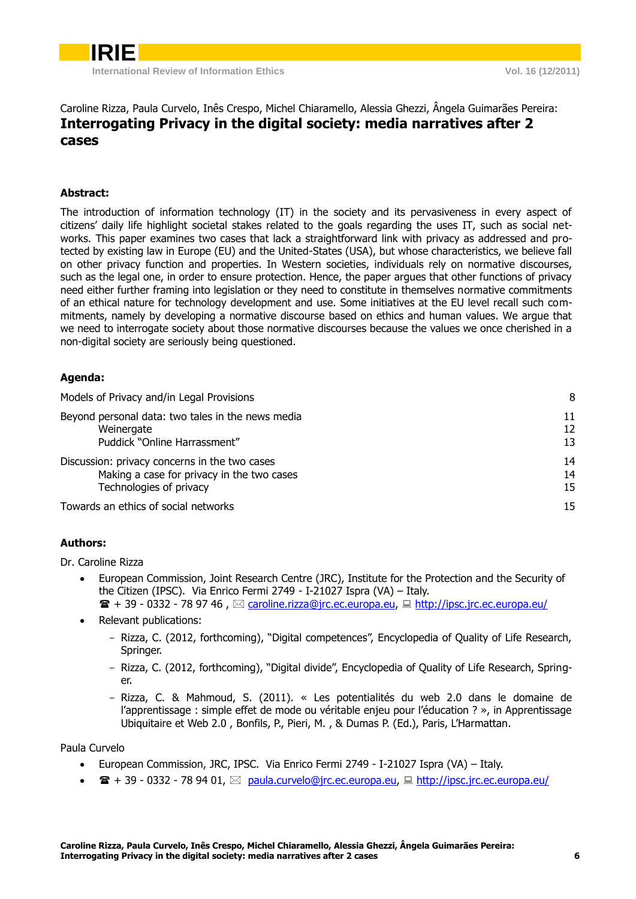### Caroline Rizza, Paula Curvelo, Inês Crespo, Michel Chiaramello, Alessia Ghezzi, Ângela Guimarães Pereira: **Interrogating Privacy in the digital society: media narratives after 2 cases**

### **Abstract:**

The introduction of information technology (IT) in the society and its pervasiveness in every aspect of citizens' daily life highlight societal stakes related to the goals regarding the uses IT, such as social networks. This paper examines two cases that lack a straightforward link with privacy as addressed and protected by existing law in Europe (EU) and the United-States (USA), but whose characteristics, we believe fall on other privacy function and properties. In Western societies, individuals rely on normative discourses, such as the legal one, in order to ensure protection. Hence, the paper argues that other functions of privacy need either further framing into legislation or they need to constitute in themselves normative commitments of an ethical nature for technology development and use. Some initiatives at the EU level recall such commitments, namely by developing a normative discourse based on ethics and human values. We argue that we need to interrogate society about those normative discourses because the values we once cherished in a non-digital society are seriously being questioned.

### **Agenda:**

| Models of Privacy and/in Legal Provisions         | 8  |
|---------------------------------------------------|----|
| Beyond personal data: two tales in the news media | 11 |
| Weinergate                                        | 12 |
| Puddick "Online Harrassment"                      | 13 |
| Discussion: privacy concerns in the two cases     | 14 |
| Making a case for privacy in the two cases        | 14 |
| Technologies of privacy                           | 15 |
| Towards an ethics of social networks              | 15 |

### **Authors:**

Dr. Caroline Rizza

- European Commission, Joint Research Centre (JRC), Institute for the Protection and the Security of the Citizen (IPSC). Via Enrico Fermi 2749 - I-21027 Ispra (VA) – Italy.  $\mathbf{F} + 39 - 0332 - 789746$ ,  $\boxtimes$  [caroline.rizza@jrc.ec.europa.eu,](mailto:caroline.rizza@jrc.ec.europa.eu)  $\boxplus$  <http://ipsc.jrc.ec.europa.eu/>
- Relevant publications:
	- Rizza, C. (2012, forthcoming), "Digital competences", Encyclopedia of Quality of Life Research, Springer.
	- Rizza, C. (2012, forthcoming), "Digital divide", Encyclopedia of Quality of Life Research, Springer.
	- Rizza, C. & Mahmoud, S. (2011). « Les potentialités du web 2.0 dans le domaine de l'apprentissage : simple effet de mode ou véritable enjeu pour l'éducation ? », in Apprentissage Ubiquitaire et Web 2.0 , Bonfils, P., Pieri, M. , & Dumas P. (Ed.), Paris, L'Harmattan.

Paula Curvelo

- European Commission, JRC, IPSC. Via Enrico Fermi 2749 I-21027 Ispra (VA) Italy.
- $\bullet$   $\bullet$   $\bullet$  + 39 0332 78 94 01,  $\boxtimes$  [paula.curvelo@jrc.ec.europa.eu,](mailto:paula.curvelo@jrc.ec.europa.eu)  $\Box$  <http://ipsc.jrc.ec.europa.eu/>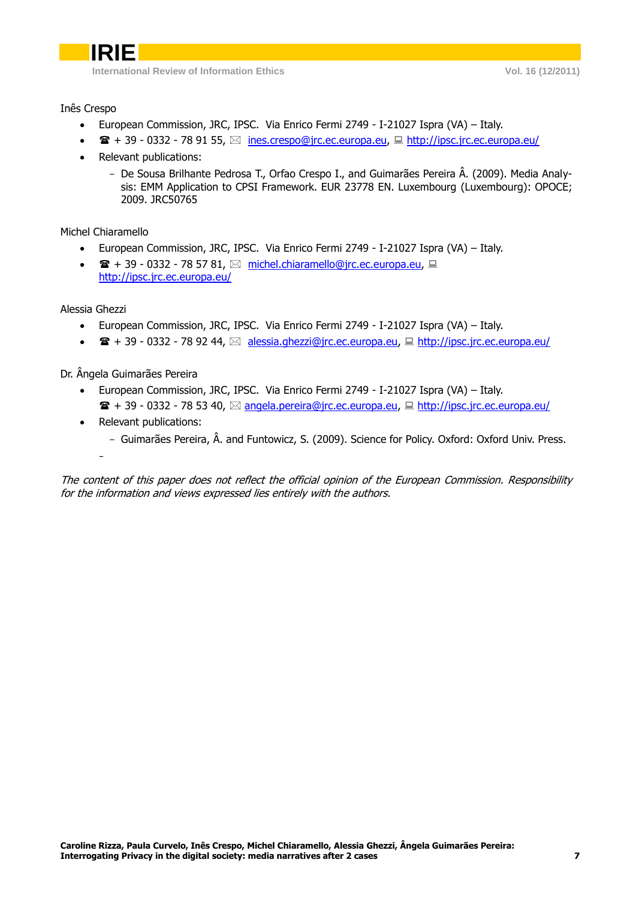Inês Crespo

- European Commission, JRC, IPSC. Via Enrico Fermi 2749 I-21027 Ispra (VA) Italy.
- $\mathbf{F} + 39 0332 789155$ ,  $\boxtimes$  [ines.crespo@jrc.ec.europa.eu,](mailto:ines.crespo@jrc.ec.europa.eu)  $\Box$  <http://ipsc.jrc.ec.europa.eu/>
- Relevant publications:
	- De Sousa Brilhante Pedrosa T., Orfao Crespo I., and Guimarães Pereira Â. (2009). Media Analysis: EMM Application to CPSI Framework. EUR 23778 EN. Luxembourg (Luxembourg): OPOCE; 2009. JRC50765

Michel Chiaramello

- European Commission, JRC, IPSC. Via Enrico Fermi 2749 I-21027 Ispra (VA) Italy.
- $\bullet$   $\mathbf{\mathcal{F}}$  + 39 0332 78 57 81,  $\boxtimes$  [michel.chiaramello@jrc.ec.europa.eu,](mailto:michel.chiaramello@jrc.ec.europa.eu)  $\boxplus$ <http://ipsc.jrc.ec.europa.eu/>

Alessia Ghezzi

-

- European Commission, JRC, IPSC. Via Enrico Fermi 2749 I-21027 Ispra (VA) Italy.
- $\bullet$   $\bullet$   $\bullet$  + 39 0332 78 92 44,  $\boxtimes$  [alessia.ghezzi@jrc.ec.europa.eu,](mailto:alessia.ghezzi@jrc.ec.europa.eu)  $\Box$  <http://ipsc.jrc.ec.europa.eu/>

Dr. Ângela Guimarães Pereira

- European Commission, JRC, IPSC. Via Enrico Fermi 2749 I-21027 Ispra (VA) Italy.
	- $\mathbf{F}$  + 39 0332 78 53 40,  $\boxtimes$  [angela.pereira@jrc.ec.europa.eu,](mailto:angela.pereira@jrc.ec.europa.eu)  $\Box$  <http://ipsc.jrc.ec.europa.eu/>
- Relevant publications:
	- Guimarães Pereira, Â. and Funtowicz, S. (2009). Science for Policy. Oxford: Oxford Univ. Press.

The content of this paper does not reflect the official opinion of the European Commission. Responsibility for the information and views expressed lies entirely with the authors.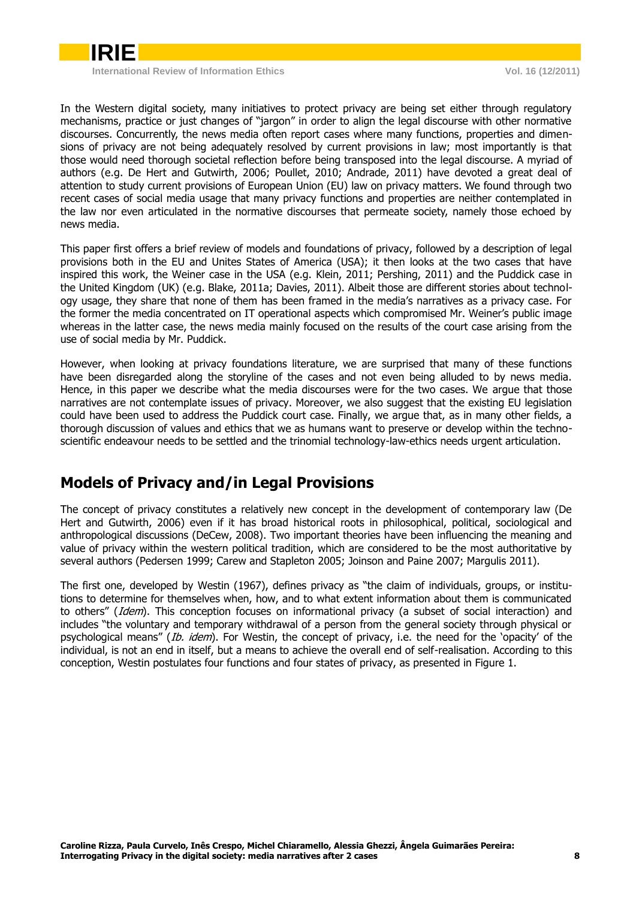

In the Western digital society, many initiatives to protect privacy are being set either through regulatory mechanisms, practice or just changes of "jargon" in order to align the legal discourse with other normative discourses. Concurrently, the news media often report cases where many functions, properties and dimensions of privacy are not being adequately resolved by current provisions in law; most importantly is that those would need thorough societal reflection before being transposed into the legal discourse. A myriad of authors (e.g. De Hert and Gutwirth, 2006; Poullet, 2010; Andrade, 2011) have devoted a great deal of attention to study current provisions of European Union (EU) law on privacy matters. We found through two recent cases of social media usage that many privacy functions and properties are neither contemplated in the law nor even articulated in the normative discourses that permeate society, namely those echoed by news media.

This paper first offers a brief review of models and foundations of privacy, followed by a description of legal provisions both in the EU and Unites States of America (USA); it then looks at the two cases that have inspired this work, the Weiner case in the USA (e.g. Klein, 2011; Pershing, 2011) and the Puddick case in the United Kingdom (UK) (e.g. Blake, 2011a; Davies, 2011). Albeit those are different stories about technology usage, they share that none of them has been framed in the media's narratives as a privacy case. For the former the media concentrated on IT operational aspects which compromised Mr. Weiner's public image whereas in the latter case, the news media mainly focused on the results of the court case arising from the use of social media by Mr. Puddick.

However, when looking at privacy foundations literature, we are surprised that many of these functions have been disregarded along the storyline of the cases and not even being alluded to by news media. Hence, in this paper we describe what the media discourses were for the two cases. We argue that those narratives are not contemplate issues of privacy. Moreover, we also suggest that the existing EU legislation could have been used to address the Puddick court case. Finally, we argue that, as in many other fields, a thorough discussion of values and ethics that we as humans want to preserve or develop within the technoscientific endeavour needs to be settled and the trinomial technology-law-ethics needs urgent articulation.

# <span id="page-2-0"></span>**Models of Privacy and/in Legal Provisions**

The concept of privacy constitutes a relatively new concept in the development of contemporary law (De Hert and Gutwirth, 2006) even if it has broad historical roots in philosophical, political, sociological and anthropological discussions (DeCew, 2008). Two important theories have been influencing the meaning and value of privacy within the western political tradition, which are considered to be the most authoritative by several authors (Pedersen 1999; Carew and Stapleton 2005; Joinson and Paine 2007; Margulis 2011).

The first one, developed by Westin (1967), defines privacy as "the claim of individuals, groups, or institutions to determine for themselves when, how, and to what extent information about them is communicated to others" (Idem). This conception focuses on informational privacy (a subset of social interaction) and includes "the voluntary and temporary withdrawal of a person from the general society through physical or psychological means" (Ib. idem). For Westin, the concept of privacy, i.e. the need for the 'opacity' of the individual, is not an end in itself, but a means to achieve the overall end of self-realisation. According to this conception, Westin postulates four functions and four states of privacy, as presented in Figure 1.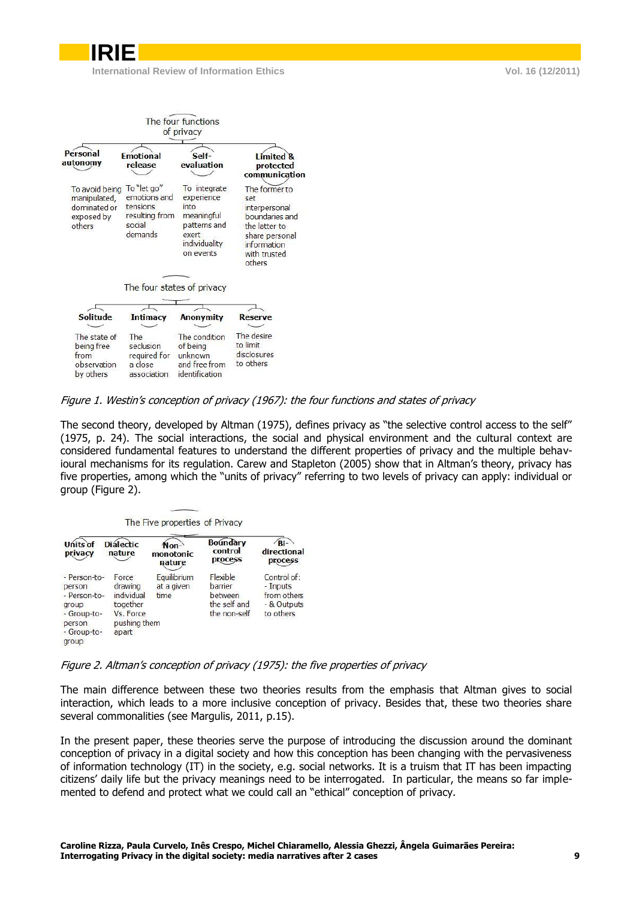|                                                                        |                                                                                | The four functions<br>of privacy                                                                        |                                                                                                                                     |
|------------------------------------------------------------------------|--------------------------------------------------------------------------------|---------------------------------------------------------------------------------------------------------|-------------------------------------------------------------------------------------------------------------------------------------|
| Personal<br>autonomv                                                   | <b>Emotional</b><br>release                                                    | Self-<br>evaluation                                                                                     | I imited &<br>protected<br>communication                                                                                            |
| To avoid being<br>manipulated,<br>dominated or<br>exposed by<br>others | To "let go"<br>emotions and<br>tensions<br>resulting from<br>social<br>demands | To integrate<br>experience<br>into<br>meaningful<br>patterns and<br>exert<br>individuality<br>on events | The former to<br>set<br>interpersonal<br>boundaries and<br>the latter to<br>share personal<br>information<br>with trusted<br>others |
|                                                                        | The four states of privacy                                                     |                                                                                                         |                                                                                                                                     |
|                                                                        |                                                                                |                                                                                                         |                                                                                                                                     |
| <b>Solitude</b>                                                        | <b>Intimacy</b>                                                                | <b>Anonymity</b>                                                                                        | Reserve                                                                                                                             |
| The state of<br>being free<br>from<br>observation<br>by others         | The<br>seclusion<br>required for<br>a close<br>association                     | The condition<br>of being<br>unknown<br>and free from<br>identification                                 | The desire<br>to limit<br>disclosures<br>to others                                                                                  |

#### Figure 1. Westin's conception of privacy (1967): the four functions and states of privacy

The second theory, developed by Altman (1975), defines privacy as "the selective control access to the self" (1975, p. 24). The social interactions, the social and physical environment and the cultural context are considered fundamental features to understand the different properties of privacy and the multiple behavioural mechanisms for its regulation. Carew and Stapleton (2005) show that in Altman's theory, privacy has five properties, among which the "units of privacy" referring to two levels of privacy can apply: individual or group (Figure 2).

|  | The Five properties of Privacy |  |
|--|--------------------------------|--|

| Units of<br>privacy                                                                              | <b>Dialectic</b><br>nature                                                       | Non-<br>monotonic<br>nature       | <b>Boundary</b><br>control<br>process                                 | Bi-<br>directional<br>process                                      |
|--------------------------------------------------------------------------------------------------|----------------------------------------------------------------------------------|-----------------------------------|-----------------------------------------------------------------------|--------------------------------------------------------------------|
| - Person-to-<br>person<br>- Person-to-<br>group<br>- Group-to-<br>person<br>- Group-to-<br>group | Force<br>drawing<br>individual<br>together<br>Vs. Force<br>pushing them<br>apart | Equilibrium<br>at a given<br>time | <b>Flexible</b><br>barrier<br>between<br>the self and<br>the non-self | Control of:<br>- Inputs<br>from others<br>- & Outputs<br>to others |

#### Figure 2. Altman's conception of privacy (1975): the five properties of privacy

The main difference between these two theories results from the emphasis that Altman gives to social interaction, which leads to a more inclusive conception of privacy. Besides that, these two theories share several commonalities (see Margulis, 2011, p.15).

In the present paper, these theories serve the purpose of introducing the discussion around the dominant conception of privacy in a digital society and how this conception has been changing with the pervasiveness of information technology (IT) in the society, e.g. social networks. It is a truism that IT has been impacting citizens' daily life but the privacy meanings need to be interrogated. In particular, the means so far implemented to defend and protect what we could call an "ethical" conception of privacy.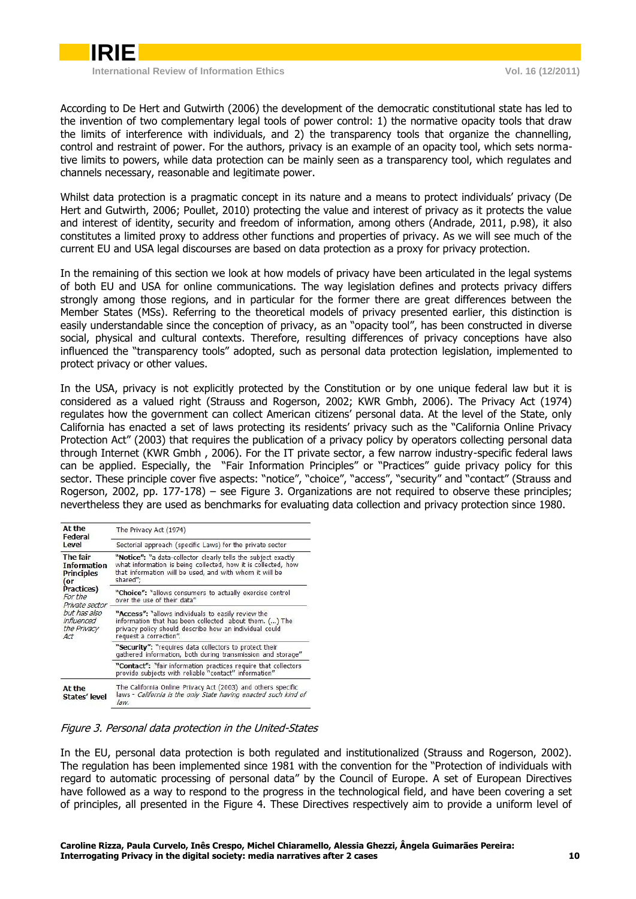

According to De Hert and Gutwirth (2006) the development of the democratic constitutional state has led to the invention of two complementary legal tools of power control: 1) the normative opacity tools that draw the limits of interference with individuals, and 2) the transparency tools that organize the channelling, control and restraint of power. For the authors, privacy is an example of an opacity tool, which sets normative limits to powers, while data protection can be mainly seen as a transparency tool, which regulates and channels necessary, reasonable and legitimate power.

Whilst data protection is a pragmatic concept in its nature and a means to protect individuals' privacy (De Hert and Gutwirth, 2006; Poullet, 2010) protecting the value and interest of privacy as it protects the value and interest of identity, security and freedom of information, among others (Andrade, 2011, p.98), it also constitutes a limited proxy to address other functions and properties of privacy. As we will see much of the current EU and USA legal discourses are based on data protection as a proxy for privacy protection.

In the remaining of this section we look at how models of privacy have been articulated in the legal systems of both EU and USA for online communications. The way legislation defines and protects privacy differs strongly among those regions, and in particular for the former there are great differences between the Member States (MSs). Referring to the theoretical models of privacy presented earlier, this distinction is easily understandable since the conception of privacy, as an "opacity tool", has been constructed in diverse social, physical and cultural contexts. Therefore, resulting differences of privacy conceptions have also influenced the "transparency tools" adopted, such as personal data protection legislation, implemented to protect privacy or other values.

In the USA, privacy is not explicitly protected by the Constitution or by one unique federal law but it is considered as a valued right (Strauss and Rogerson, 2002; KWR Gmbh, 2006). The Privacy Act (1974) regulates how the government can collect American citizens' personal data. At the level of the State, only California has enacted a set of laws protecting its residents' privacy such as the "California Online Privacy Protection Act" (2003) that requires the publication of a privacy policy by operators collecting personal data through Internet (KWR Gmbh , 2006). For the IT private sector, a few narrow industry-specific federal laws can be applied. Especially, the "Fair Information Principles" or "Practices" guide privacy policy for this sector. These principle cover five aspects: "notice", "choice", "access", "security" and "contact" (Strauss and Rogerson, 2002, pp. 177-178) – see Figure 3. Organizations are not required to observe these principles; nevertheless they are used as benchmarks for evaluating data collection and privacy protection since 1980.

| At the<br>Federal                                                                                                                                         | The Privacy Act (1974)                                                                                                                                                                                |  |  |
|-----------------------------------------------------------------------------------------------------------------------------------------------------------|-------------------------------------------------------------------------------------------------------------------------------------------------------------------------------------------------------|--|--|
| Level                                                                                                                                                     | Sectorial approach (specific Laws) for the private sector                                                                                                                                             |  |  |
| The fair<br><b>Information</b><br><b>Principles</b><br>(or<br>Practices)<br>For the<br>Private sector<br>but has also<br>influenced<br>the Privacy<br>Act | "Notice": "a data-collector clearly tells the subject exactly<br>what information is being collected, how it is collected, how<br>that information will be used, and with whom it will be<br>shared"; |  |  |
|                                                                                                                                                           | "Choice": "allows consumers to actually exercise control<br>over the use of their data"                                                                                                               |  |  |
|                                                                                                                                                           | "Access": "allows individuals to easily review the<br>information that has been collected about them. () The<br>privacy policy should describe how an individual could<br>request a correction".      |  |  |
|                                                                                                                                                           | "Security": "requires data collectors to protect their<br>qathered information, both during transmission and storage"                                                                                 |  |  |
|                                                                                                                                                           | "Contact": "fair information practices require that collectors<br>provide subjects with reliable "contact" information"                                                                               |  |  |
| At the<br>States' level                                                                                                                                   | The California Online Privacy Act (2003) and others specific<br>laws - California is the only State having enacted such kind of<br>law.                                                               |  |  |

#### Figure 3. Personal data protection in the United-States

In the EU, personal data protection is both regulated and institutionalized (Strauss and Rogerson, 2002). The regulation has been implemented since 1981 with the convention for the "Protection of individuals with regard to automatic processing of personal data" by the Council of Europe. A set of European Directives have followed as a way to respond to the progress in the technological field, and have been covering a set of principles, all presented in the Figure 4. These Directives respectively aim to provide a uniform level of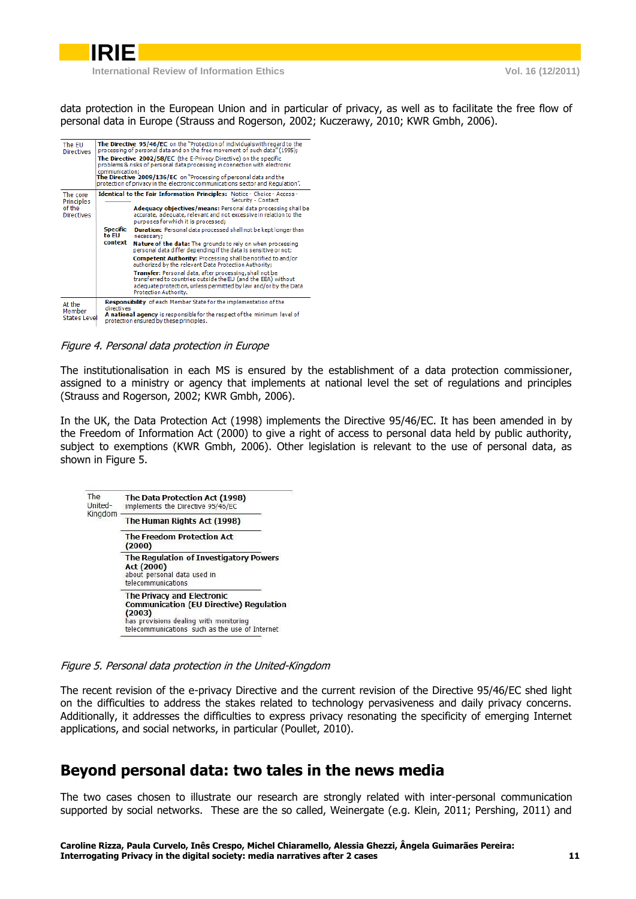

data protection in the European Union and in particular of privacy, as well as to facilitate the free flow of personal data in Europe (Strauss and Rogerson, 2002; Kuczerawy, 2010; KWR Gmbh, 2006).

| The EU<br><b>Directives</b>             | communication:           | The Directive 95/46/EC on the "Protection of individuals with regard to the<br>processing of personal data and on the free movement of such data" (1995);<br>The Directive 2002/58/EC (the E-Privacy Directive) on the specific<br>problems & risks of personal data processing in connection with electronic<br>The Directive 2009/136/EC on "Processing of personal data and the<br>protection of privacy in the electronic communications sector and Requlation". |
|-----------------------------------------|--------------------------|----------------------------------------------------------------------------------------------------------------------------------------------------------------------------------------------------------------------------------------------------------------------------------------------------------------------------------------------------------------------------------------------------------------------------------------------------------------------|
| The core<br>Principles                  |                          | Identical to the Fair Information Principles: Notice - Choice - Access -<br>Security - Contact                                                                                                                                                                                                                                                                                                                                                                       |
| of the<br><b>Directives</b>             |                          | Adequacy objectives/means: Personal data processing shall be<br>accurate, adequate, relevant and not excessive in relation to the<br>purposes for which it is processed:                                                                                                                                                                                                                                                                                             |
|                                         | <b>Specific</b><br>to FU | <b>Duration:</b> Personal data processed shall not be kept longer than<br>necessary:                                                                                                                                                                                                                                                                                                                                                                                 |
|                                         | context                  | Nature of the data: The grounds to rely on when processing<br>personal data differ depending if the data is sensitive or not;                                                                                                                                                                                                                                                                                                                                        |
|                                         |                          | Competent Authority: Processing shall be notified to and/or<br>authorized by the relevant Data Protection Authority;                                                                                                                                                                                                                                                                                                                                                 |
|                                         |                          | <b>Transfer:</b> Personal data, after processing, shall not be<br>transferred to countries outside the EU (and the EEA) without<br>adequate protection, unless permitted by law and/or by the Data<br>Protection Authority.                                                                                                                                                                                                                                          |
| At the<br>Member<br><b>States Level</b> | directives               | <b>Responsibility</b> of each Member State for the implementation of the<br>A national agency is responsible for the respect of the minimum level of<br>protection ensured by these principles.                                                                                                                                                                                                                                                                      |

Figure 4. Personal data protection in Europe

The institutionalisation in each MS is ensured by the establishment of a data protection commissioner, assigned to a ministry or agency that implements at national level the set of regulations and principles (Strauss and Rogerson, 2002; KWR Gmbh, 2006).

In the UK, the Data Protection Act (1998) implements the Directive 95/46/EC. It has been amended in by the Freedom of Information Act (2000) to give a right of access to personal data held by public authority, subject to exemptions (KWR Gmbh, 2006). Other legislation is relevant to the use of personal data, as shown in Figure 5.

| The<br>United-<br>Kingdom | The Data Protection Act (1998)<br>implements the Directive 95/46/EC                                                                                                                       |
|---------------------------|-------------------------------------------------------------------------------------------------------------------------------------------------------------------------------------------|
|                           | The Human Rights Act (1998)                                                                                                                                                               |
|                           | <b>The Freedom Protection Act</b><br>(2000)                                                                                                                                               |
|                           | The Regulation of Investigatory Powers<br>Act (2000)<br>about personal data used in<br>telecommunications                                                                                 |
|                           | <b>The Privacy and Electronic</b><br><b>Communication (EU Directive) Requlation</b><br>(2003)<br>has provisions dealing with monitoring<br>telecommunications such as the use of Internet |

Figure 5. Personal data protection in the United-Kingdom

The recent revision of the e-privacy Directive and the current revision of the Directive 95/46/EC shed light on the difficulties to address the stakes related to technology pervasiveness and daily privacy concerns. Additionally, it addresses the difficulties to express privacy resonating the specificity of emerging Internet applications, and social networks, in particular (Poullet, 2010).

## <span id="page-5-0"></span>**Beyond personal data: two tales in the news media**

The two cases chosen to illustrate our research are strongly related with inter-personal communication supported by social networks. These are the so called, Weinergate (e.g. Klein, 2011; Pershing, 2011) and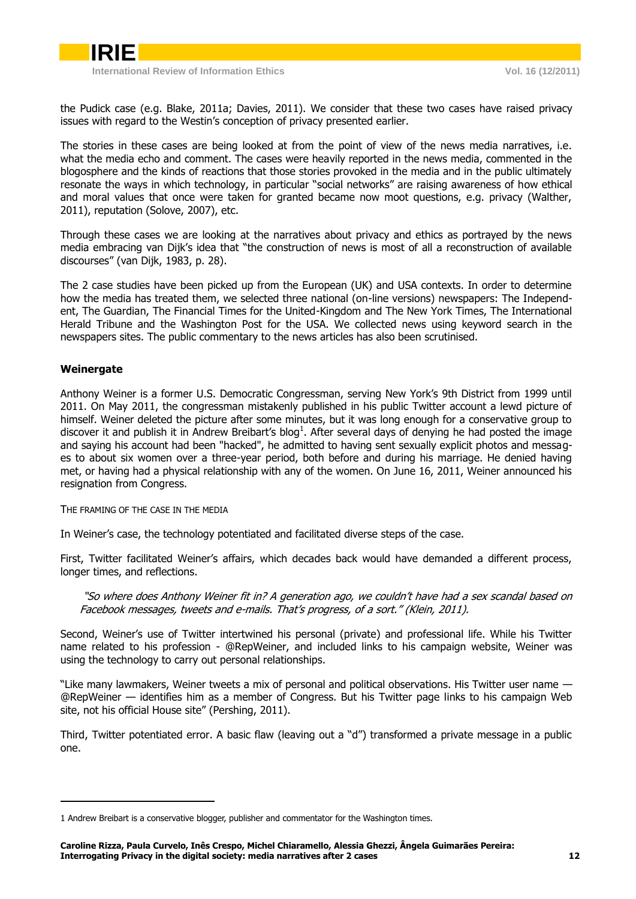

the Pudick case (e.g. Blake, 2011a; Davies, 2011). We consider that these two cases have raised privacy issues with regard to the Westin's conception of privacy presented earlier.

The stories in these cases are being looked at from the point of view of the news media narratives, i.e. what the media echo and comment. The cases were heavily reported in the news media, commented in the blogosphere and the kinds of reactions that those stories provoked in the media and in the public ultimately resonate the ways in which technology, in particular "social networks" are raising awareness of how ethical and moral values that once were taken for granted became now moot questions, e.g. privacy (Walther, 2011), reputation (Solove, 2007), etc.

Through these cases we are looking at the narratives about privacy and ethics as portrayed by the news media embracing van Dijk's idea that "the construction of news is most of all a reconstruction of available discourses" (van Dijk, 1983, p. 28).

The 2 case studies have been picked up from the European (UK) and USA contexts. In order to determine how the media has treated them, we selected three national (on-line versions) newspapers: The Independent, The Guardian, The Financial Times for the United-Kingdom and The New York Times, The International Herald Tribune and the Washington Post for the USA. We collected news using keyword search in the newspapers sites. The public commentary to the news articles has also been scrutinised.

### <span id="page-6-0"></span>**Weinergate**

-

Anthony Weiner is a former U.S. Democratic Congressman, serving New York's 9th District from 1999 until 2011. On May 2011, the congressman mistakenly published in his public Twitter account a lewd picture of himself. Weiner deleted the picture after some minutes, but it was long enough for a conservative group to discover it and publish it in Andrew Breibart's blog<sup>1</sup>. After several days of denying he had posted the image and saying his account had been "hacked", he admitted to having sent sexually explicit photos and messages to about six women over a three-year period, both before and during his marriage. He denied having met, or having had a physical relationship with any of the women. On June 16, 2011, Weiner announced his resignation from Congress.

THE FRAMING OF THE CASE IN THE MEDIA

In Weiner's case, the technology potentiated and facilitated diverse steps of the case.

First, Twitter facilitated Weiner's affairs, which decades back would have demanded a different process, longer times, and reflections.

"So where does Anthony Weiner fit in? A generation ago, we couldn't have had a sex scandal based on Facebook messages, tweets and e-mails. That's progress, of a sort." (Klein, 2011).

Second, Weiner's use of Twitter intertwined his personal (private) and professional life. While his Twitter name related to his profession - @RepWeiner, and included links to his campaign website, Weiner was using the technology to carry out personal relationships.

"Like many lawmakers, Weiner tweets a mix of personal and political observations. His Twitter user name — @RepWeiner — identifies him as a member of Congress. But his Twitter page links to his campaign Web site, not his official House site" (Pershing, 2011).

Third, Twitter potentiated error. A basic flaw (leaving out a "d") transformed a private message in a public one.

<sup>1</sup> Andrew Breibart is a conservative blogger, publisher and commentator for the Washington times.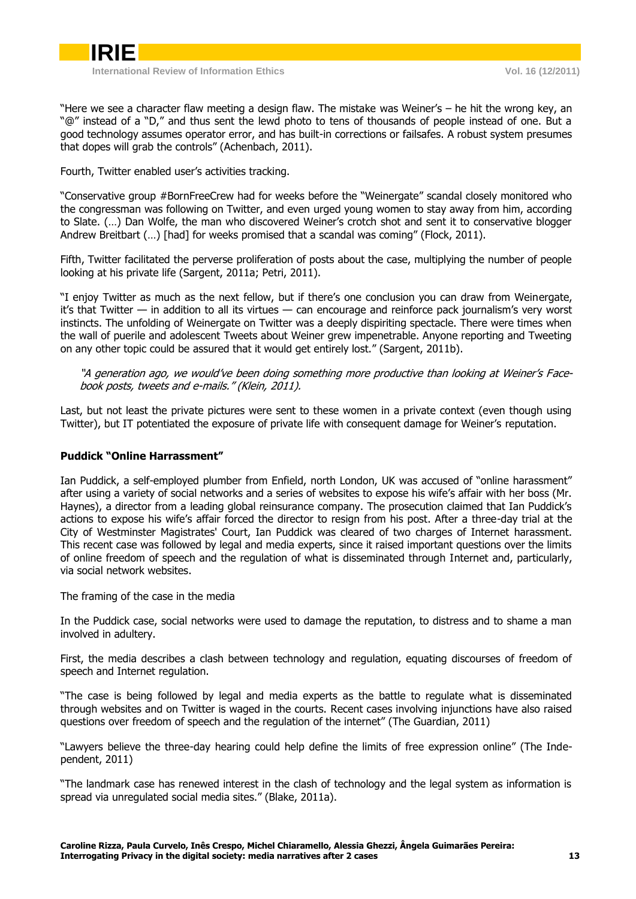

"Here we see a character flaw meeting a design flaw. The mistake was Weiner's – he hit the wrong key, an "@" instead of a "D," and thus sent the lewd photo to tens of thousands of people instead of one. But a good technology assumes operator error, and has built-in corrections or failsafes. A robust system presumes that dopes will grab the controls" (Achenbach, 2011).

Fourth, Twitter enabled user's activities tracking.

"Conservative group #BornFreeCrew had for weeks before the "Weinergate" scandal closely monitored who the congressman was following on Twitter, and even urged young women to stay away from him, according to Slate. (…) Dan Wolfe, the man who discovered Weiner's crotch shot and sent it to conservative blogger Andrew Breitbart (…) [had] for weeks promised that a scandal was coming" (Flock, 2011).

Fifth, Twitter facilitated the perverse proliferation of posts about the case, multiplying the number of people looking at his private life (Sargent, 2011a; Petri, 2011).

"I enjoy Twitter as much as the next fellow, but if there's one conclusion you can draw from Weinergate, it's that Twitter — in addition to all its virtues — can encourage and reinforce pack journalism's very worst instincts. The unfolding of Weinergate on Twitter was a deeply dispiriting spectacle. There were times when the wall of puerile and adolescent Tweets about Weiner grew impenetrable. Anyone reporting and Tweeting on any other topic could be assured that it would get entirely lost." (Sargent, 2011b).

"A generation ago, we would've been doing something more productive than looking at Weiner's Facebook posts, tweets and e-mails." (Klein, 2011).

Last, but not least the private pictures were sent to these women in a private context (even though using Twitter), but IT potentiated the exposure of private life with consequent damage for Weiner's reputation.

### <span id="page-7-0"></span>**Puddick "Online Harrassment"**

Ian Puddick, a self-employed plumber from Enfield, north London, UK was accused of "online harassment" after using a variety of social networks and a series of websites to expose his wife's affair with her boss (Mr. Haynes), a director from a leading global reinsurance company. The prosecution claimed that Ian Puddick's actions to expose his wife's affair forced the director to resign from his post. After a three-day trial at the City of Westminster Magistrates' Court, Ian Puddick was cleared of two charges of Internet harassment. This recent case was followed by legal and media experts, since it raised important questions over the limits of online freedom of speech and the regulation of what is disseminated through Internet and, particularly, via social network websites.

The framing of the case in the media

In the Puddick case, social networks were used to damage the reputation, to distress and to shame a man involved in adultery.

First, the media describes a clash between technology and regulation, equating discourses of freedom of speech and Internet regulation.

"The case is being followed by legal and media experts as the battle to regulate what is disseminated through websites and on Twitter is waged in the courts. Recent cases involving injunctions have also raised questions over freedom of speech and the regulation of the internet" (The Guardian, 2011)

"Lawyers believe the three-day hearing could help define the limits of free expression online" (The Independent, 2011)

"The landmark case has renewed interest in the clash of technology and the legal system as information is spread via unregulated social media sites." (Blake, 2011a).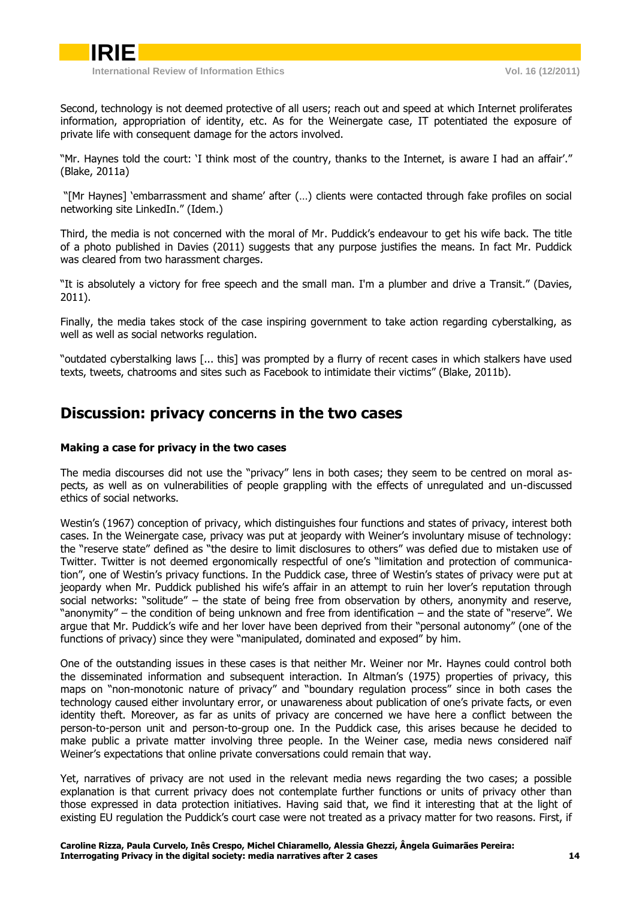Second, technology is not deemed protective of all users; reach out and speed at which Internet proliferates information, appropriation of identity, etc. As for the Weinergate case, IT potentiated the exposure of private life with consequent damage for the actors involved.

"Mr. Haynes told the court: 'I think most of the country, thanks to the Internet, is aware I had an affair'." (Blake, 2011a)

"[Mr Haynes] 'embarrassment and shame' after (…) clients were contacted through fake profiles on social networking site LinkedIn." (Idem.)

Third, the media is not concerned with the moral of Mr. Puddick's endeavour to get his wife back. The title of a photo published in Davies (2011) suggests that any purpose justifies the means. In fact Mr. Puddick was cleared from two harassment charges.

"It is absolutely a victory for free speech and the small man. I'm a plumber and drive a Transit." (Davies, 2011).

Finally, the media takes stock of the case inspiring government to take action regarding cyberstalking, as well as well as social networks regulation.

<span id="page-8-0"></span>"outdated cyberstalking laws [... this] was prompted by a flurry of recent cases in which stalkers have used texts, tweets, chatrooms and sites such as Facebook to intimidate their victims" (Blake, 2011b).

### **Discussion: privacy concerns in the two cases**

### <span id="page-8-1"></span>**Making a case for privacy in the two cases**

The media discourses did not use the "privacy" lens in both cases; they seem to be centred on moral aspects, as well as on vulnerabilities of people grappling with the effects of unregulated and un-discussed ethics of social networks.

Westin's (1967) conception of privacy, which distinguishes four functions and states of privacy, interest both cases. In the Weinergate case, privacy was put at jeopardy with Weiner's involuntary misuse of technology: the "reserve state" defined as "the desire to limit disclosures to others" was defied due to mistaken use of Twitter. Twitter is not deemed ergonomically respectful of one's "limitation and protection of communication", one of Westin's privacy functions. In the Puddick case, three of Westin's states of privacy were put at jeopardy when Mr. Puddick published his wife's affair in an attempt to ruin her lover's reputation through social networks: "solitude" – the state of being free from observation by others, anonymity and reserve, "anonymity" – the condition of being unknown and free from identification – and the state of "reserve". We argue that Mr. Puddick's wife and her lover have been deprived from their "personal autonomy" (one of the functions of privacy) since they were "manipulated, dominated and exposed" by him.

One of the outstanding issues in these cases is that neither Mr. Weiner nor Mr. Haynes could control both the disseminated information and subsequent interaction. In Altman's (1975) properties of privacy, this maps on "non-monotonic nature of privacy" and "boundary regulation process" since in both cases the technology caused either involuntary error, or unawareness about publication of one's private facts, or even identity theft. Moreover, as far as units of privacy are concerned we have here a conflict between the person-to-person unit and person-to-group one. In the Puddick case, this arises because he decided to make public a private matter involving three people. In the Weiner case, media news considered naïf Weiner's expectations that online private conversations could remain that way.

Yet, narratives of privacy are not used in the relevant media news regarding the two cases; a possible explanation is that current privacy does not contemplate further functions or units of privacy other than those expressed in data protection initiatives. Having said that, we find it interesting that at the light of existing EU regulation the Puddick's court case were not treated as a privacy matter for two reasons. First, if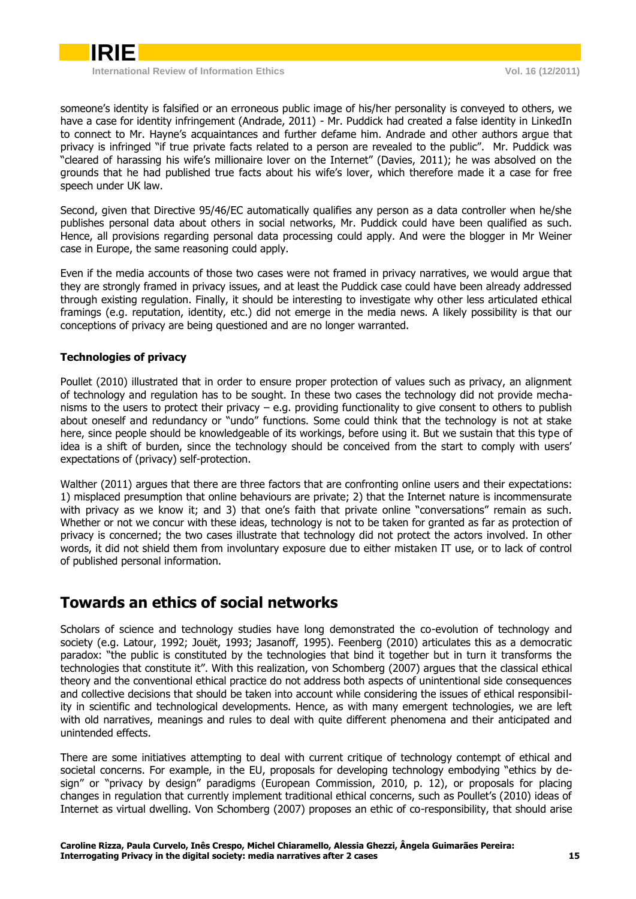

someone's identity is falsified or an erroneous public image of his/her personality is conveyed to others, we have a case for identity infringement (Andrade, 2011) - Mr. Puddick had created a false identity in LinkedIn to connect to Mr. Hayne's acquaintances and further defame him. Andrade and other authors argue that privacy is infringed "if true private facts related to a person are revealed to the public". Mr. Puddick was "cleared of harassing his wife's millionaire lover on the Internet" (Davies, 2011); he was absolved on the grounds that he had published true facts about his wife's lover, which therefore made it a case for free speech under UK law.

Second, given that Directive 95/46/EC automatically qualifies any person as a data controller when he/she publishes personal data about others in social networks, Mr. Puddick could have been qualified as such. Hence, all provisions regarding personal data processing could apply. And were the blogger in Mr Weiner case in Europe, the same reasoning could apply.

Even if the media accounts of those two cases were not framed in privacy narratives, we would argue that they are strongly framed in privacy issues, and at least the Puddick case could have been already addressed through existing regulation. Finally, it should be interesting to investigate why other less articulated ethical framings (e.g. reputation, identity, etc.) did not emerge in the media news. A likely possibility is that our conceptions of privacy are being questioned and are no longer warranted.

### <span id="page-9-0"></span>**Technologies of privacy**

Poullet (2010) illustrated that in order to ensure proper protection of values such as privacy, an alignment of technology and regulation has to be sought. In these two cases the technology did not provide mechanisms to the users to protect their privacy – e.g. providing functionality to give consent to others to publish about oneself and redundancy or "undo" functions. Some could think that the technology is not at stake here, since people should be knowledgeable of its workings, before using it. But we sustain that this type of idea is a shift of burden, since the technology should be conceived from the start to comply with users' expectations of (privacy) self-protection.

Walther (2011) argues that there are three factors that are confronting online users and their expectations: 1) misplaced presumption that online behaviours are private; 2) that the Internet nature is incommensurate with privacy as we know it; and 3) that one's faith that private online "conversations" remain as such. Whether or not we concur with these ideas, technology is not to be taken for granted as far as protection of privacy is concerned; the two cases illustrate that technology did not protect the actors involved. In other words, it did not shield them from involuntary exposure due to either mistaken IT use, or to lack of control of published personal information.

## <span id="page-9-1"></span>**Towards an ethics of social networks**

Scholars of science and technology studies have long demonstrated the co-evolution of technology and society (e.g. Latour, 1992; Jouët, 1993; Jasanoff, 1995). Feenberg (2010) articulates this as a democratic paradox: "the public is constituted by the technologies that bind it together but in turn it transforms the technologies that constitute it". With this realization, von Schomberg (2007) argues that the classical ethical theory and the conventional ethical practice do not address both aspects of unintentional side consequences and collective decisions that should be taken into account while considering the issues of ethical responsibility in scientific and technological developments. Hence, as with many emergent technologies, we are left with old narratives, meanings and rules to deal with quite different phenomena and their anticipated and unintended effects.

There are some initiatives attempting to deal with current critique of technology contempt of ethical and societal concerns. For example, in the EU, proposals for developing technology embodying "ethics by design" or "privacy by design" paradigms (European Commission, 2010, p. 12), or proposals for placing changes in regulation that currently implement traditional ethical concerns, such as Poullet's (2010) ideas of Internet as virtual dwelling. Von Schomberg (2007) proposes an ethic of co-responsibility, that should arise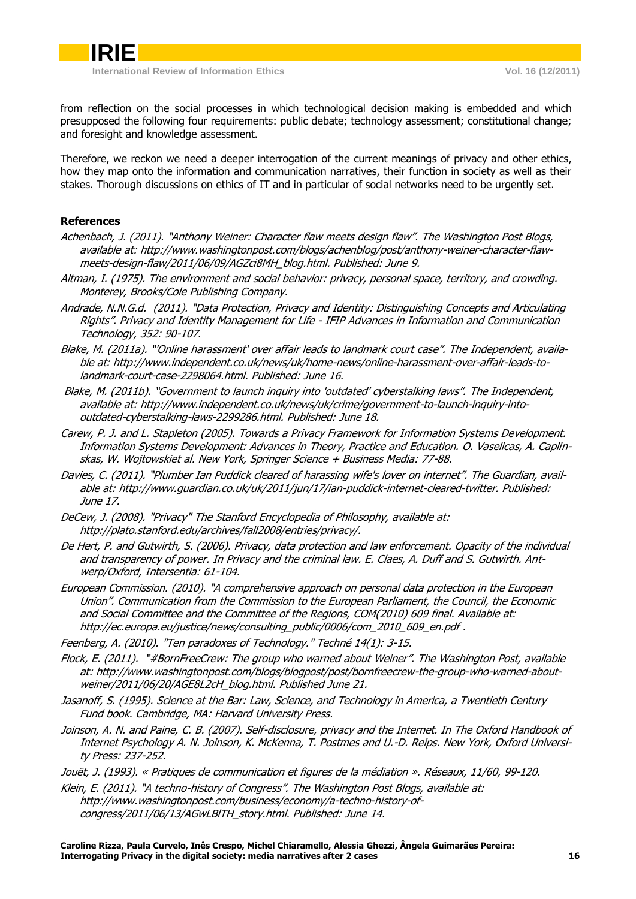from reflection on the social processes in which technological decision making is embedded and which presupposed the following four requirements: public debate; technology assessment; constitutional change; and foresight and knowledge assessment.

Therefore, we reckon we need a deeper interrogation of the current meanings of privacy and other ethics, how they map onto the information and communication narratives, their function in society as well as their stakes. Thorough discussions on ethics of IT and in particular of social networks need to be urgently set.

### **References**

- Achenbach, J. (2011). "Anthony Weiner: Character flaw meets design flaw". The Washington Post Blogs, available at: http://www.washingtonpost.com/blogs/achenblog/post/anthony-weiner-character-flawmeets-design-flaw/2011/06/09/AGZci8MH\_blog.html. Published: June 9.
- Altman, I. (1975). The environment and social behavior: privacy, personal space, territory, and crowding. Monterey, Brooks/Cole Publishing Company.
- Andrade, N.N.G.d. (2011). "Data Protection, Privacy and Identity: Distinguishing Concepts and Articulating Rights". Privacy and Identity Management for Life - IFIP Advances in Information and Communication Technology, 352: 90-107.
- Blake, M. (2011a). "'Online harassment' over affair leads to landmark court case". The Independent, available at: http://www.independent.co.uk/news/uk/home-news/online-harassment-over-affair-leads-tolandmark-court-case-2298064.html. Published: June 16.
- Blake, M. (2011b). "Government to launch inquiry into 'outdated' cyberstalking laws". The Independent, available at: http://www.independent.co.uk/news/uk/crime/government-to-launch-inquiry-intooutdated-cyberstalking-laws-2299286.html. Published: June 18.
- Carew, P. J. and L. Stapleton (2005). Towards a Privacy Framework for Information Systems Development. Information Systems Development: Advances in Theory, Practice and Education. O. Vaselicas, A. Caplinskas, W. Wojtowskiet al. New York, Springer Science + Business Media: 77-88.
- Davies, C. (2011). "Plumber Ian Puddick cleared of harassing wife's lover on internet". The Guardian, available at: http://www.guardian.co.uk/uk/2011/jun/17/ian-puddick-internet-cleared-twitter. Published: June 17.
- DeCew, J. (2008). "Privacy" The Stanford Encyclopedia of Philosophy, available at: http://plato.stanford.edu/archives/fall2008/entries/privacy/.
- De Hert, P. and Gutwirth, S. (2006). Privacy, data protection and law enforcement. Opacity of the individual and transparency of power. In Privacy and the criminal law. E. Claes, A. Duff and S. Gutwirth. Antwerp/Oxford, Intersentia: 61-104.
- European Commission. (2010). "A comprehensive approach on personal data protection in the European Union". Communication from the Commission to the European Parliament, the Council, the Economic and Social Committee and the Committee of the Regions, COM(2010) 609 final. Available at: http://ec.europa.eu/justice/news/consulting\_public/0006/com\_2010\_609\_en.pdf.

Feenberg, A. (2010). "Ten paradoxes of Technology." Techné 14(1): 3-15.

- Flock, E. (2011). "#BornFreeCrew: The group who warned about Weiner". The Washington Post, available at: http://www.washingtonpost.com/blogs/blogpost/post/bornfreecrew-the-group-who-warned-aboutweiner/2011/06/20/AGE8L2cH\_blog.html. Published June 21.
- Jasanoff, S. (1995). Science at the Bar: Law, Science, and Technology in America, a Twentieth Century Fund book. Cambridge, MA: Harvard University Press.
- Joinson, A. N. and Paine, C. B. (2007). Self-disclosure, privacy and the Internet. In The Oxford Handbook of Internet Psychology A. N. Joinson, K. McKenna, T. Postmes and U.-D. Reips. New York, Oxford University Press: 237-252.
- Jouët, J. (1993). « Pratiques de communication et figures de la médiation ». Réseaux, 11/60, 99-120.
- Klein, E. (2011). "A techno-history of Congress". The Washington Post Blogs, available at: http://www.washingtonpost.com/business/economy/a-techno-history-ofcongress/2011/06/13/AGwLBlTH\_story.html. Published: June 14.